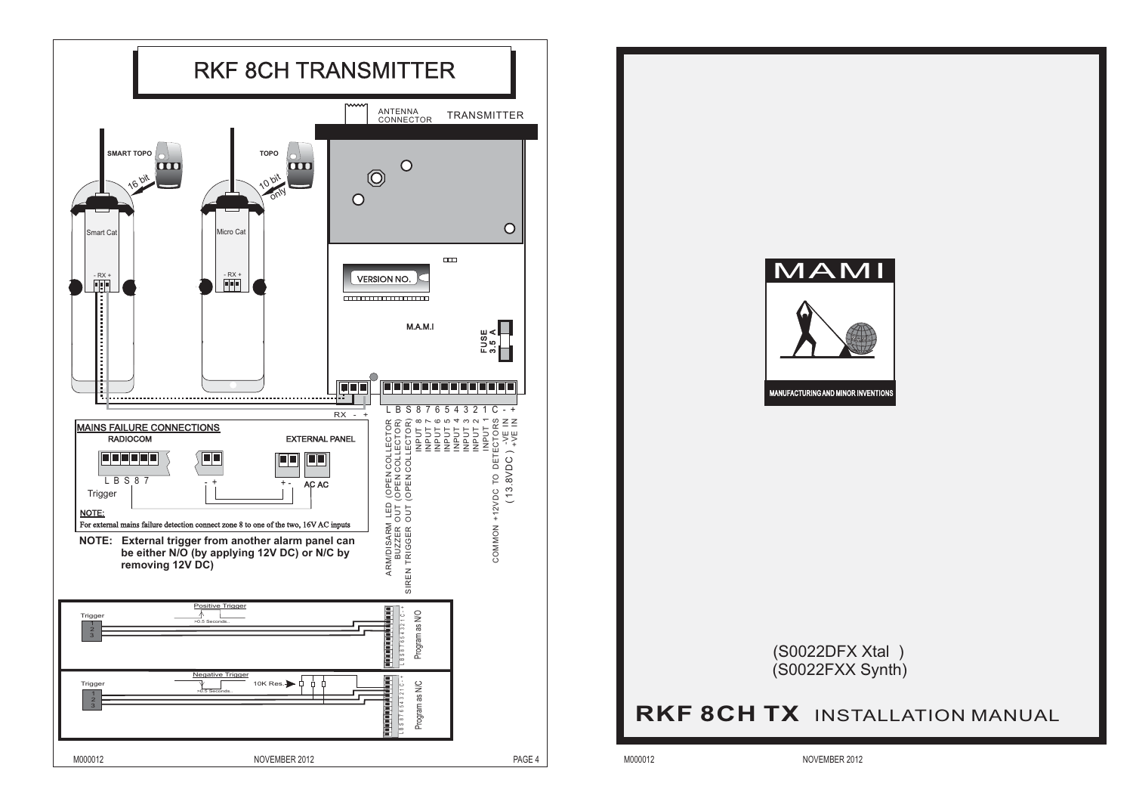

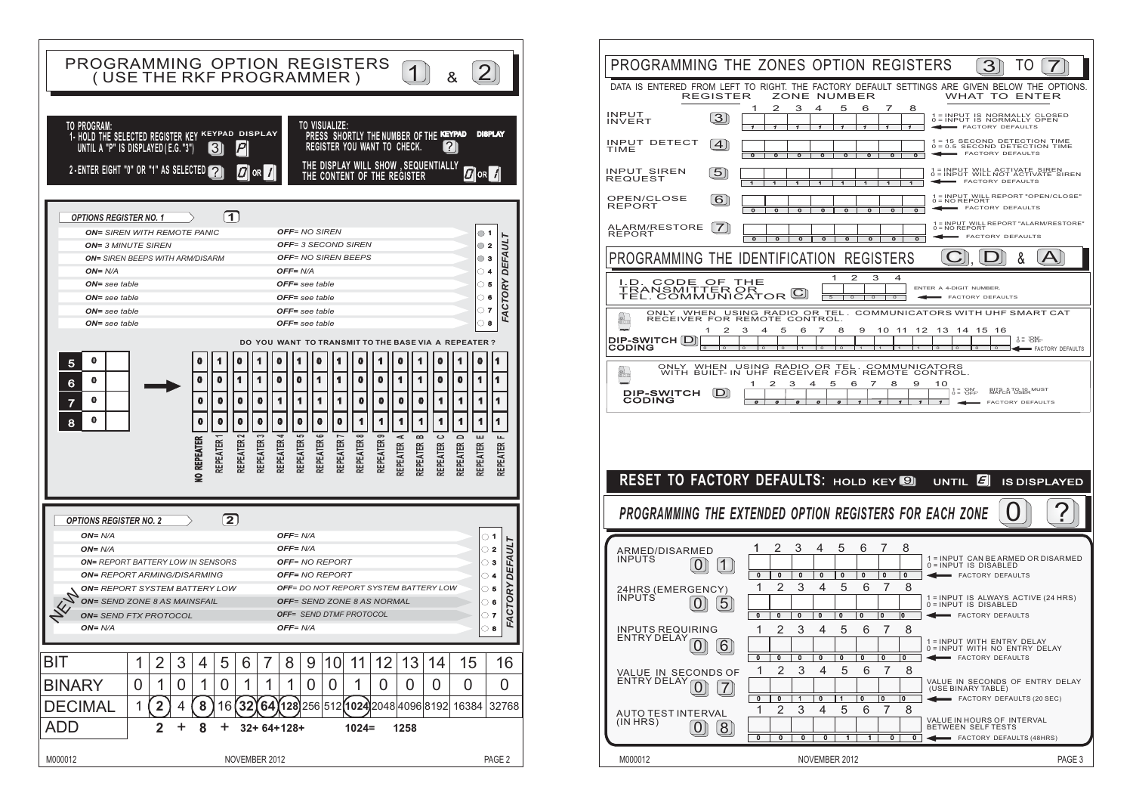

|                                                                                                                                  |                     |                                                      |                                                    |                                                              |                                                    | PROGRAMMING THE ZONES OPTION REGISTERS | З                                                | ТO                                                                                     |
|----------------------------------------------------------------------------------------------------------------------------------|---------------------|------------------------------------------------------|----------------------------------------------------|--------------------------------------------------------------|----------------------------------------------------|----------------------------------------|--------------------------------------------------|----------------------------------------------------------------------------------------|
| DATA IS ENTERED FROM LEFT TO RIGHT. THE FACTORY DEFAULT SETTINGS ARE GIVEN BELOW THE OPTIONS<br><b>REGISTER</b>                  |                     |                                                      |                                                    | ZONE NUMBER                                                  |                                                    |                                        |                                                  | WHAT TO ENTER                                                                          |
| <b>INPUT</b><br><b>INVERT</b>                                                                                                    | $3 \sigma$          | 1<br>2<br>1                                          | з<br>4<br>1                                        | 5<br>6<br>1<br>1                                             | 7<br>1                                             | 8<br>1                                 |                                                  | 1 = INPUT IS NORMALLY CLOSED<br>0 = INPUT IS NORMALLY OPEN<br>FACTORY DEFAULTS         |
| INPUT DETECT<br>TIME                                                                                                             | $\overline{4}$      | $\circ$<br>o                                         |                                                    | $\circ$                                                      | $\overline{\mathbf{o}}$                            | $\overline{\mathbf{o}}$                |                                                  | 1 = 15 SECOND DETECTION TIME<br>0 = 0.5 SECOND DETECTION TIME<br>FACTORY DEFAULTS      |
| <b>INPUT SIREN</b><br><b>REQUEST</b>                                                                                             | $\overline{5}$      |                                                      |                                                    |                                                              |                                                    |                                        |                                                  | 1 = INPUT WILL ACTIVATE SIREN<br>0 = INPUT WILL NOT ACTIVATE SIREN<br>FACTORY DEFAULTS |
| OPEN/CLOSE<br><b>REPORT</b>                                                                                                      | [6]                 | $\overline{\mathbf{o}}$<br>$\Omega$                  | $\overline{\mathbf{o}}$<br>$\overline{\mathbf{o}}$ | $\overline{0}$<br>$\overline{0}$                             | $\overline{\mathbf{o}}$                            | $\overline{\mathbf{o}}$                |                                                  | 1 = INPUT WILL REPORT "OPEN/CLOSE"<br>0 = NO REPORT<br>FACTORY DEFAULTS                |
| ALARM/RESTORE<br><b>REPORT</b>                                                                                                   | <b>7</b>            | $\overline{\mathbf{o}}$<br>$\overline{\mathbf{o}}$   | $\overline{\mathbf{o}}$<br>$\overline{\mathbf{o}}$ | $\overline{\mathbf{o}}$<br>ō                                 | $\overline{\mathbf{o}}$                            | $\overline{\mathbf{o}}$                | $0 = NO$ REPORT                                  | 1 = INPUT WILL REPORT "ALARM/RESTORE"<br><b>EACTORY DEFAULTS</b>                       |
| PROGRAMMING THE IDENTIFICATION                                                                                                   |                     |                                                      |                                                    |                                                              | <b>REGISTERS</b>                                   |                                        |                                                  | &                                                                                      |
| CODE<br>I.D.<br><b>TRANSMITTER OR</b><br>TEL. COMMUNICATOR C                                                                     | OF                  | THE                                                  |                                                    | 1<br>2<br>$\circ$                                            | з<br>4<br>$\circ$<br>$\circ$                       | ENTER A 4-DIGIT NUMBER.                | FACTORY DEFAULTS                                 |                                                                                        |
| ONLY<br>$\mathbf{a}$<br>RECEIVER FOR REMOTE CONTROL.                                                                             | 2                   | WHEN USING RADIO OR TEL<br>З<br>5<br>4               | 7<br>6                                             | 8<br>9                                                       | 10<br>11                                           | 12<br>13                               | 14<br>15                                         | COMMUNICATORS WITH UHF SMART CAT<br>16                                                 |
| <b>DIP-SWITCH [D]</b><br><b>CODING</b>                                                                                           |                     |                                                      |                                                    |                                                              |                                                    |                                        |                                                  | $\begin{array}{c} 1 = 'ON' \\ 0 = 'OFF' \end{array}$<br>4<br>FACTORY DEFAULTS          |
| ONLY WHEN USING RADIO OR TEL. COMMUNICATORS<br>WITH BUILT-IN UHF RECEIVER FOR REMOTE CONTROL.<br>ONLY<br>e.<br><b>DIP-SWITCH</b> |                     | 1<br>2                                               | З<br>4                                             | 5<br>6                                                       | 7<br>8                                             | 9<br>10                                | $0 = \frac{1}{10}$ OFF                           | BITS 5 TO 10 MUST<br>MATCH USER                                                        |
| <b>CODING</b>                                                                                                                    | Dï                  | $\boldsymbol{o}$<br>o                                |                                                    |                                                              |                                                    |                                        |                                                  | <b>FACTORY DEFAULTS</b>                                                                |
|                                                                                                                                  |                     |                                                      |                                                    |                                                              |                                                    |                                        |                                                  |                                                                                        |
|                                                                                                                                  |                     |                                                      |                                                    |                                                              |                                                    |                                        |                                                  |                                                                                        |
| RESET TO FACTORY DEFAULTS: HOLD KEY                                                                                              |                     |                                                      |                                                    |                                                              |                                                    | <b>UNTIL</b>                           | $\left \boldsymbol{\mathsf{\mathsf{E}}}\right $  |                                                                                        |
| PROGRAMMING THE EXTENDED OPTION REGISTERS FOR EACH ZONE                                                                          |                     |                                                      |                                                    |                                                              |                                                    |                                        |                                                  | <b>IS DISPLAYED</b>                                                                    |
|                                                                                                                                  |                     |                                                      |                                                    |                                                              |                                                    |                                        |                                                  |                                                                                        |
| ARMED/DISARMED<br><b>INPUTS</b>                                                                                                  |                     | 2<br>1                                               | 3<br>4                                             | 5<br>6                                                       | 8<br>7                                             |                                        |                                                  |                                                                                        |
| U<br>24HRS (EMERGENCY)                                                                                                           | $\mathbf{1}$        | $\overline{\mathbf{0}}$<br>$\mathbf 0$<br>1<br>2     | $\mathbf 0$<br>$\mathbf 0$<br>3<br>4               | $\mathbf 0$<br>0<br>5<br>6                                   | $\overline{\mathfrak{o}}$<br>$\mathbf 0$<br>8<br>7 |                                        | FACTORY DEFAULTS                                 | 1 = INPUT CAN BE ARMED OR DISARMED<br>0 = INPUT IS DISABLED                            |
| <b>INPUTS</b>                                                                                                                    | 5                   | $\overline{\mathbf{0}}$<br>$\mathbf 0$               | $\mathbf 0$<br>$\mathbf 0$                         | $\overline{\mathbf{0}}$<br>$\overline{\mathbf{0}}$           | $\overline{\mathfrak{o}}$<br>۱o                    |                                        | 0 = INPUT IS DISABLED<br><b>FACTORY DEFAULTS</b> | 1 = INPUT IS ALWAYS ACTIVE (24 HRS)                                                    |
| <b>INPUTS REQUIRING</b>                                                                                                          |                     | 1<br>2                                               | 3<br>4                                             | 5<br>6                                                       | 7<br>8                                             |                                        |                                                  | 1 = INPUT WITH ENTRY DELAY<br>0 = INPUT WITH NO ENTRY DELAY                            |
| ENTRY DELAY 0 6<br>VALUE IN SECONDS OF                                                                                           |                     | 0<br>0<br>1<br>2                                     | 0<br>0<br>3<br>4                                   | $\overline{\mathbf{0}}$<br>$\overline{\mathbf{0}}$<br>5<br>6 | $\overline{\mathbf{0}}$<br>0<br>7                  | 8                                      | FACTORY DEFAULTS                                 |                                                                                        |
| <b>ENTRY DELAY</b>                                                                                                               |                     | $\overline{\mathfrak{o}}$<br>$\overline{\mathbf{0}}$ | $\overline{1}$<br>$\overline{\mathbf{0}}$          | $\overline{1}$<br>$\overline{\mathbf{0}}$                    | $\overline{\mathbf{0}}$<br>0                       |                                        | (USE BINARY TABLE)                               | VALUE IN SECONDS OF ENTRY DELAY<br>FACTORY DEFAULTS (20 SEC)                           |
| <b>AUTO TEST INTERVAL</b><br>(IN HRS)<br>$\Omega$                                                                                | $\lfloor 8 \rfloor$ | 1<br>2<br>$\overline{\mathbf{0}}$<br>$\mathbf 0$     | 3<br>4<br>0<br>0                                   | 5<br>6<br>1<br>1.                                            | 8<br>7<br>0                                        | $\mathbf{0}$                           | BETWEEN SELF TESTS                               | VALUE IN HOURS OF INTERVAL<br>FACTORY DEFAULTS (48HRS)                                 |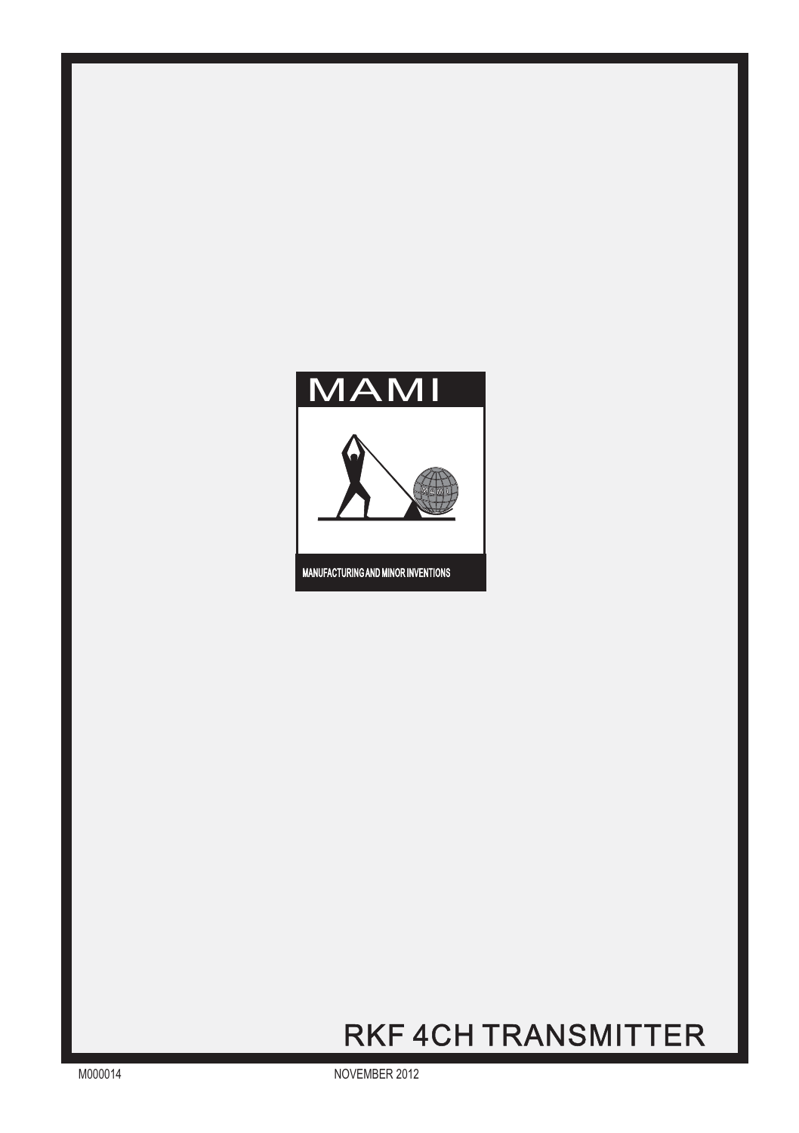

## RKF 4CH TRANSMITTER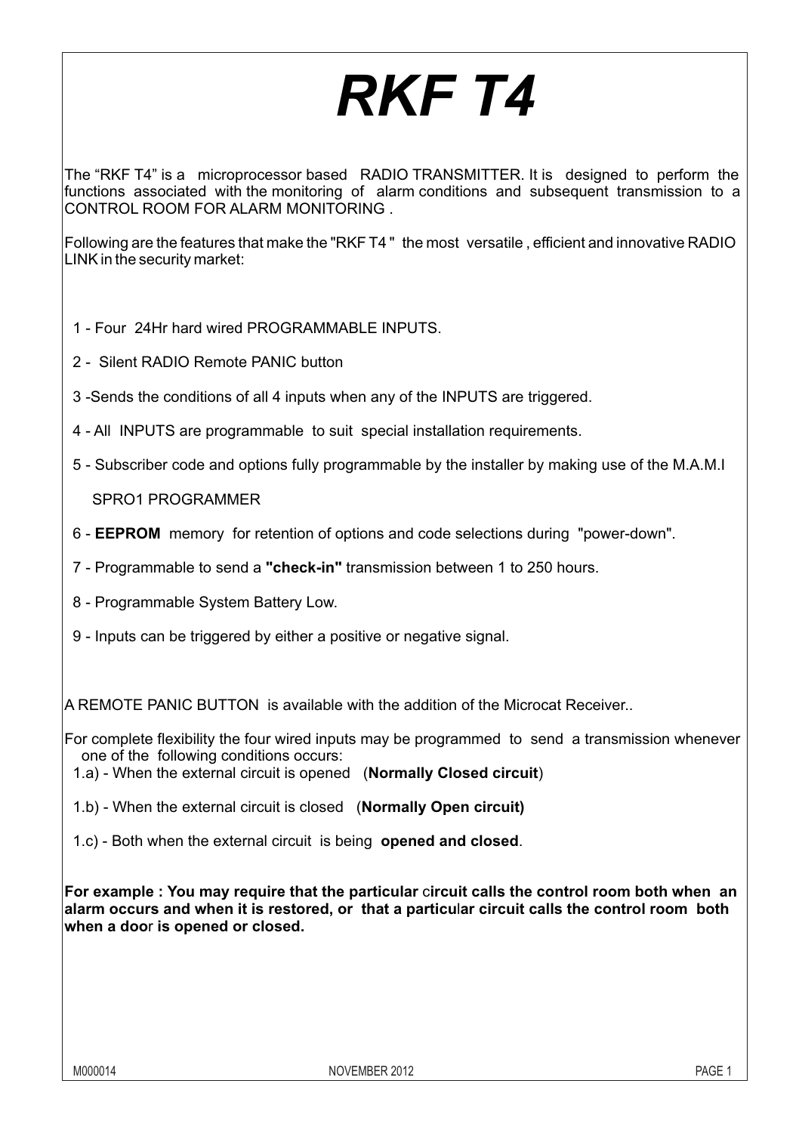# *RKF T4*

The "RKF T4" is a microprocessor based RADIO TRANSMITTER. It is designed to perform the functions associated with the monitoring of alarm conditions and subsequent transmission to a CONTROL ROOM FOR ALARM MONITORING .

Following are the features that make the "RKF T4 " the most versatile , efficient and innovative RADIO LINK in the security market:

- 1 Four 24Hr hard wired PROGRAMMABLE INPUTS.
- 2 Silent RADIO Remote PANIC button
- 3 -Sends the conditions of all 4 inputs when any of the INPUTS are triggered.
- 4 All INPUTS are programmable to suit special installation requirements.
- 5 Subscriber code and options fully programmable by the installer by making use of the M.A.M.I

SPRO1 PROGRAMMER

- 6 **EEPROM** memory for retention of options and code selections during "power-down".
- 7 Programmable to send a **"check-in"** transmission between 1 to 250 hours.
- 8 Programmable System Battery Low.
- 9 Inputs can be triggered by either a positive or negative signal.

A REMOTE PANIC BUTTON is available with the addition of the Microcat Receiver..

For complete flexibility the four wired inputs may be programmed to send a transmission whenever one of the following conditions occurs:

1.a) - When the external circuit is opened (**Normally Closed circuit**)

1.b) - When the external circuit is closed (**Normally Open circuit)**

1.c) - Both when the external circuit is being **opened and closed**.

**For example : You may require that the particular** c**ircuit calls the control room both when an alarm occurs and when it is restored, or that a particu**l**ar circuit calls the control room both when a doo**r **is opened or closed.**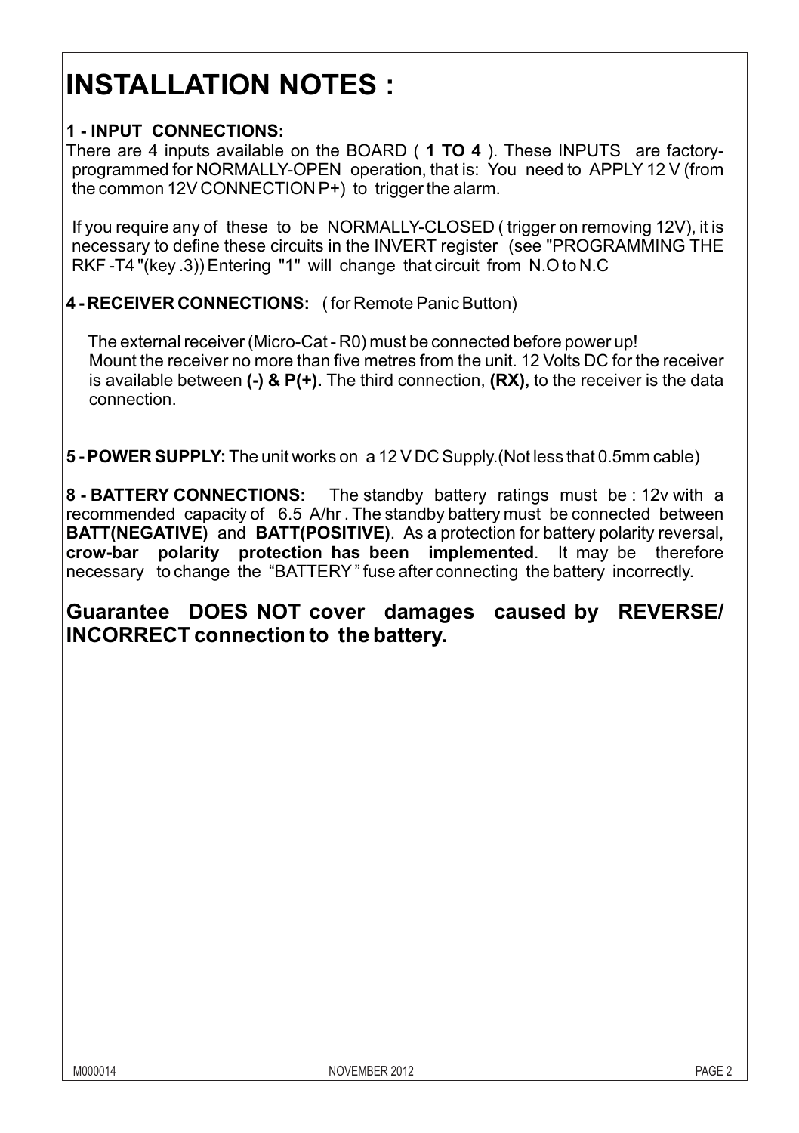## **INSTALLATION NOTES :**

#### **1 - INPUT CONNECTIONS:**

There are 4 inputs available on the BOARD ( **1 TO 4** ). These INPUTS are factoryprogrammed for NORMALLY-OPEN operation, that is: You need to APPLY 12 V (from the common 12V CONNECTION P+) to trigger the alarm.

If you require any of these to be NORMALLY-CLOSED ( trigger on removing 12V), it is necessary to define these circuits in the INVERT register (see "PROGRAMMING THE RKF -T4 "(key .3)) Entering "1" will change that circuit from N.O to N.C

**4 - RECEIVER CONNECTIONS:** ( for Remote Panic Button)

 The external receiver (Micro-Cat - R0) must be connected before power up! Mount the receiver no more than five metres from the unit. 12 Volts DC for the receiver is available between **(-) & P(+).** The third connection, **(RX),** to the receiver is the data connection.

**5 - POWER SUPPLY:** The unit works on a 12 V DC Supply.(Not less that 0.5mm cable)

**8 - BATTERY CONNECTIONS:** The standby battery ratings must be : 12v with a recommended capacity of 6.5 A/hr . The standby battery must be connected between **BATT(NEGATIVE)** and **BATT(POSITIVE)**. As a protection for battery polarity reversal, **crow-bar polarity protection has been implemented**. It may be therefore necessary to change the "BATTERY" fuse after connecting the battery incorrectly.

**Guarantee DOES NOT cover damages caused by REVERSE/ INCORRECT connection to the battery.**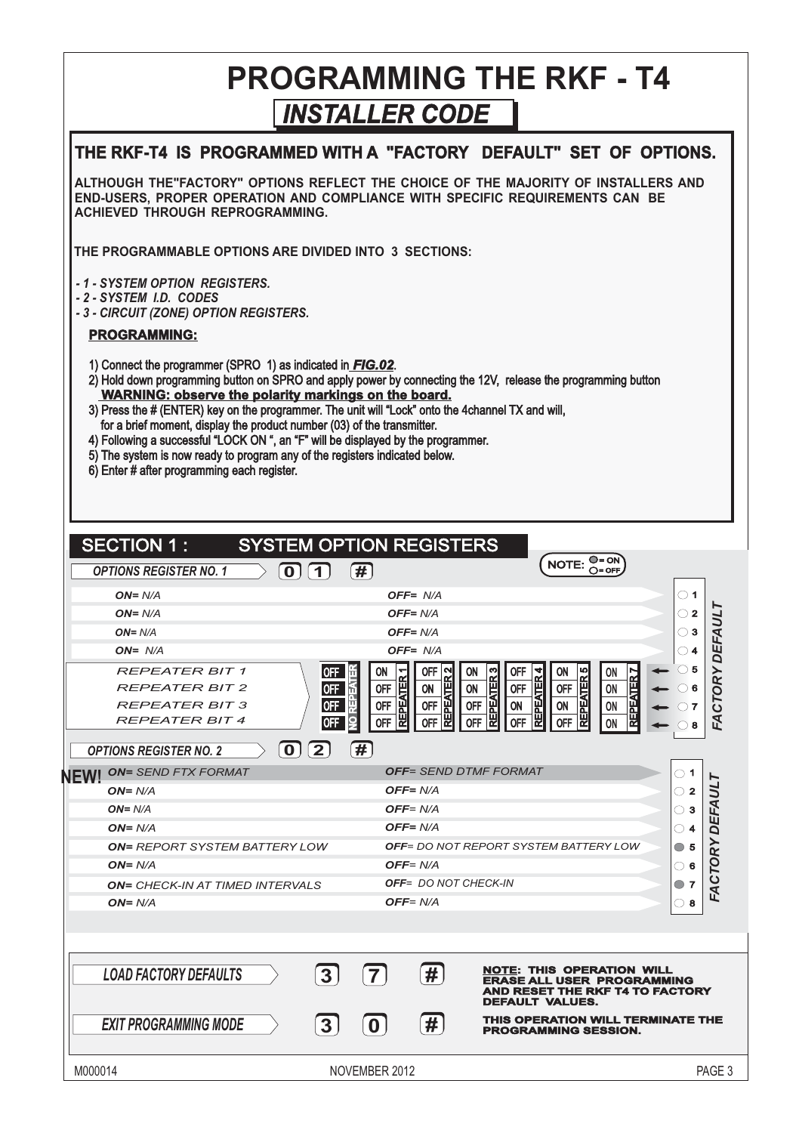#### *INSTALLER CODE* **PROGRAMMING THE RKF - T4**

| THE RKF-T4 IS PROGRAMMED WITH A "FACTORY DEFAULT" SET OF OPTIONS.                                                                                                                                                                                                                                                                                                                                                                                                                                                                                                                                                                              |                                                                                                             |                                                                                                       |                                                                                                                      |                                                                                                                                          |
|------------------------------------------------------------------------------------------------------------------------------------------------------------------------------------------------------------------------------------------------------------------------------------------------------------------------------------------------------------------------------------------------------------------------------------------------------------------------------------------------------------------------------------------------------------------------------------------------------------------------------------------------|-------------------------------------------------------------------------------------------------------------|-------------------------------------------------------------------------------------------------------|----------------------------------------------------------------------------------------------------------------------|------------------------------------------------------------------------------------------------------------------------------------------|
| ALTHOUGH THE"FACTORY" OPTIONS REFLECT THE CHOICE OF THE MAJORITY OF INSTALLERS AND<br>END-USERS, PROPER OPERATION AND COMPLIANCE WITH SPECIFIC REQUIREMENTS CAN BE<br>ACHIEVED THROUGH REPROGRAMMING.                                                                                                                                                                                                                                                                                                                                                                                                                                          |                                                                                                             |                                                                                                       |                                                                                                                      |                                                                                                                                          |
| THE PROGRAMMABLE OPTIONS ARE DIVIDED INTO 3 SECTIONS:                                                                                                                                                                                                                                                                                                                                                                                                                                                                                                                                                                                          |                                                                                                             |                                                                                                       |                                                                                                                      |                                                                                                                                          |
| - 1 - SYSTEM OPTION  REGISTERS.<br>-2-SYSTEM I.D. CODES<br>- 3 - CIRCUIT (ZONE) OPTION REGISTERS.                                                                                                                                                                                                                                                                                                                                                                                                                                                                                                                                              |                                                                                                             |                                                                                                       |                                                                                                                      |                                                                                                                                          |
| <b>PROGRAMMING:</b>                                                                                                                                                                                                                                                                                                                                                                                                                                                                                                                                                                                                                            |                                                                                                             |                                                                                                       |                                                                                                                      |                                                                                                                                          |
| 1) Connect the programmer (SPRO 1) as indicated in <b>FIG.02</b> .<br>2) Hold down programming button on SPRO and apply power by connecting the 12V, release the programming button<br>WARNING: observe the polarity markings on the board.<br>3) Press the # (ENTER) key on the programmer. The unit will "Lock" onto the 4channel TX and will,<br>for a brief moment, display the product number (03) of the transmitter.<br>4) Following a successful "LOCK ON ", an "F" will be displayed by the programmer.<br>5) The system is now ready to program any of the registers indicated below.<br>6) Enter # after programming each register. |                                                                                                             |                                                                                                       |                                                                                                                      |                                                                                                                                          |
| <b>SECTION 1:</b>                                                                                                                                                                                                                                                                                                                                                                                                                                                                                                                                                                                                                              | <b>SYSTEM OPTION REGISTERS</b>                                                                              |                                                                                                       |                                                                                                                      |                                                                                                                                          |
| <b>OPTIONS REGISTER NO. 1</b>                                                                                                                                                                                                                                                                                                                                                                                                                                                                                                                                                                                                                  | 0[1]<br>[#]                                                                                                 |                                                                                                       |                                                                                                                      | $NOTE: \bigcirc = ON$                                                                                                                    |
| $ON = N/A$                                                                                                                                                                                                                                                                                                                                                                                                                                                                                                                                                                                                                                     |                                                                                                             | OFF= N/A                                                                                              |                                                                                                                      | $\circ$ 1                                                                                                                                |
| $ON = N/A$                                                                                                                                                                                                                                                                                                                                                                                                                                                                                                                                                                                                                                     |                                                                                                             | OFF= N/A                                                                                              |                                                                                                                      | $\circ$ 2                                                                                                                                |
| $ON = N/A$                                                                                                                                                                                                                                                                                                                                                                                                                                                                                                                                                                                                                                     |                                                                                                             | OFF= N/A                                                                                              |                                                                                                                      | $\circ$ 3                                                                                                                                |
| $ON = N/A$                                                                                                                                                                                                                                                                                                                                                                                                                                                                                                                                                                                                                                     |                                                                                                             | OFF= N/A                                                                                              |                                                                                                                      | $\bigcirc$ 4                                                                                                                             |
| <b>REPEATER BIT 1</b><br><b>REPEATER BIT 2</b><br><b>REPEATER BIT 3</b><br><b>REPEATER BIT 4</b>                                                                                                                                                                                                                                                                                                                                                                                                                                                                                                                                               | OFF<br>ON<br><b>REPEATER 1</b><br><b>OFF</b><br>0FF<br><b>OFF</b><br><b>OFF</b><br><b>OFF</b><br><b>OFF</b> | N<br>0FF<br>ON<br><b>REPEATER</b><br>ON<br>ON<br><b>OFF</b><br><b>OFF</b><br><b>OFF</b><br><b>OFF</b> | REPEATER <sub>3</sub><br><b>OFF</b><br>REPEATER 4<br>ON<br><b>OFF</b><br><b>OFF</b><br>ON<br>ON<br>OFF<br><b>OFF</b> | FACTORY DEFAULT<br>$\circ$ 5<br><b>REPEATER 5</b><br><b>REPEATER 7</b><br>on<br>$\circ$ 6<br>ON<br>ON<br>$\bigcirc$ 7<br>ON<br>$\circ$ 8 |
| <b>OPTIONS REGISTER NO. 2</b>                                                                                                                                                                                                                                                                                                                                                                                                                                                                                                                                                                                                                  | F#1                                                                                                         |                                                                                                       |                                                                                                                      |                                                                                                                                          |
| <b>NEW! ON= SEND FTX FORMAT</b>                                                                                                                                                                                                                                                                                                                                                                                                                                                                                                                                                                                                                |                                                                                                             | <b>OFF= SEND DTMF FORMAT</b>                                                                          |                                                                                                                      | $\circ$ 1                                                                                                                                |
| $ON = N/A$                                                                                                                                                                                                                                                                                                                                                                                                                                                                                                                                                                                                                                     |                                                                                                             | OFF= N/A                                                                                              |                                                                                                                      | $\circ$ 2                                                                                                                                |
| $ON = N/A$                                                                                                                                                                                                                                                                                                                                                                                                                                                                                                                                                                                                                                     |                                                                                                             | OFF= N/A                                                                                              |                                                                                                                      | $\circ$ 3                                                                                                                                |
| $ON = N/A$                                                                                                                                                                                                                                                                                                                                                                                                                                                                                                                                                                                                                                     |                                                                                                             | OFF= N/A                                                                                              | <b>OFF</b> = DO NOT REPORT SYSTEM BATTERY LOW                                                                        | FACTORY DEFAUL<br>$\circ$ 4                                                                                                              |
| <b>ON= REPORT SYSTEM BATTERY LOW</b><br>$ON = N/A$                                                                                                                                                                                                                                                                                                                                                                                                                                                                                                                                                                                             |                                                                                                             | OFF= N/A                                                                                              |                                                                                                                      | $\circ$ 5                                                                                                                                |
| <b>ON= CHECK-IN AT TIMED INTERVALS</b>                                                                                                                                                                                                                                                                                                                                                                                                                                                                                                                                                                                                         |                                                                                                             | OFF= DO NOT CHECK-IN                                                                                  |                                                                                                                      | ⊙ 6<br>$\circ$ 7                                                                                                                         |
| $ON = N/A$                                                                                                                                                                                                                                                                                                                                                                                                                                                                                                                                                                                                                                     |                                                                                                             | OFF= N/A                                                                                              |                                                                                                                      | $\circ$ 8                                                                                                                                |
|                                                                                                                                                                                                                                                                                                                                                                                                                                                                                                                                                                                                                                                |                                                                                                             |                                                                                                       |                                                                                                                      |                                                                                                                                          |
|                                                                                                                                                                                                                                                                                                                                                                                                                                                                                                                                                                                                                                                |                                                                                                             |                                                                                                       |                                                                                                                      |                                                                                                                                          |
| <b>LOAD FACTORY DEFAULTS</b>                                                                                                                                                                                                                                                                                                                                                                                                                                                                                                                                                                                                                   | $\overline{3}$<br>$\overline{7}$                                                                            | $\left  \# \right $                                                                                   | <b>NOTE: THIS OPERATION WILL</b><br>DEFAULT VALUES.                                                                  | <b>ERASE ALL USER PROGRAMMING</b><br>AND RESET THE RKF T4 TO FACTORY                                                                     |
| <b>EXIT PROGRAMMING MODE</b>                                                                                                                                                                                                                                                                                                                                                                                                                                                                                                                                                                                                                   | 3 <sup>1</sup><br>$\bf{0}$                                                                                  | #                                                                                                     | PROGRAMMING SESSION.                                                                                                 | THIS OPERATION WILL TERMINATE THE                                                                                                        |
| M000014                                                                                                                                                                                                                                                                                                                                                                                                                                                                                                                                                                                                                                        | NOVEMBER 2012                                                                                               |                                                                                                       |                                                                                                                      | PAGE 3                                                                                                                                   |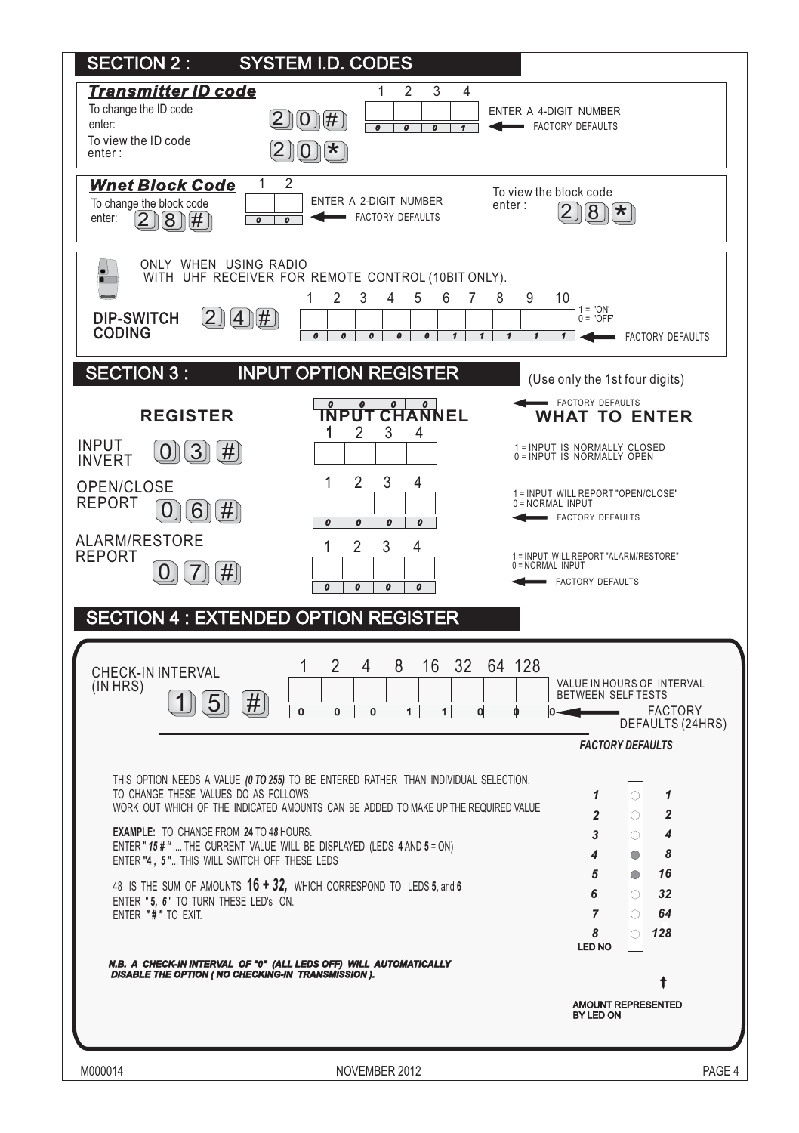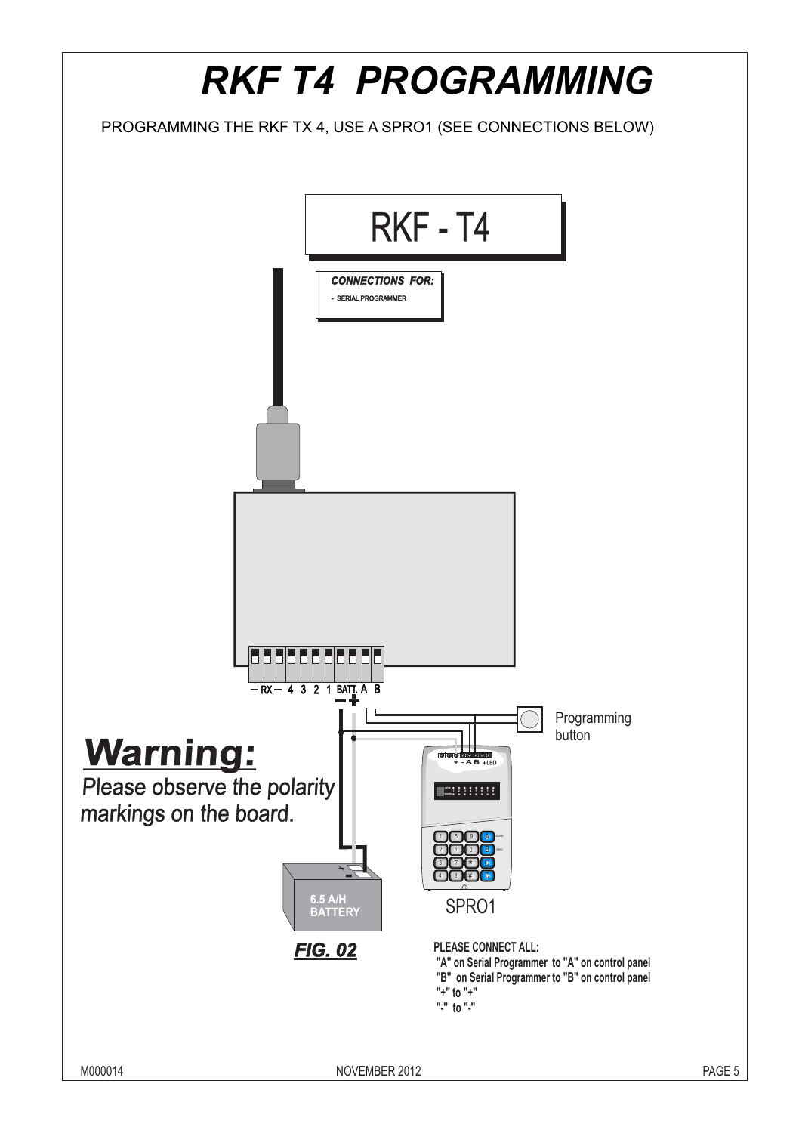